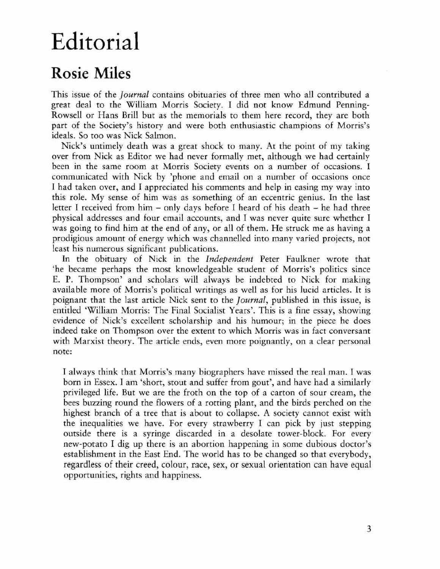## Editorial

## Rosie Miles

This issue of the *Journal* contains obituaries of three men who all contributed a great deal to the William Morris Society. I did not know Edmund Penning-Rowsell or Hans Brill but as the memorials to them here record, they are both part of the Society's history and were both enthusiastic champions of Morris's ideals. So too was Nick Salmon.

Nick's untimely death was a great shock to many. At the point of my taking over from Nick as Editor we had never formally mer, although we had certainly been in the same room at Morris Society events on a number of occasions. 1 communicated with Nick by 'phone and email on a number of occasions once I had taken over, and I appreciated his comments and help in easing my way into this role. My sense of him was as something of an eccentric genius. In the last letter I received from him - only days before I heard of his death - he had three physical addresses and four email accounts, and I was never quite sure whether I was going to find him at the end of any, or all of them. He struck me as having a prodigious amount of energy which was channelled into many varied projects, not least his numerous significant publications.

In the obituary of Nick in the *Independent* Peter Faulkner wrote that 'he became perhaps the most knowledgeable student of Morris's politics since E. P. Thompson' and scholars will always be indebted to Nick for making available more of Morris's political writings as well as for his lucid articles. It is poignant that the last article Nick sent to the *Journal,* published in this issue, is entitled 'William Morris: The Final Socialist Years'. This is a fine essay, showing evidence of Nick's excellent scholarship and his humour; in the piece he does indeed take on Thompson over the extent to which Morris was in fact conversant with Marxist theory. The article ends, even more poignantly, on a clear personal note:

I always think that Morris's many biographers have missed the real man. I was born in Essex. I am 'short, stout and suffer from gout', and have had a similarly privileged life. Bur we are the froth on the top of a carton of sour cream, the bees buzzing round the flowers of a rotting plant, and the birds perched on the highest branch of a tree that is about to collapse. A society cannot exist with the inequalities we have. For every strawberry I can pick by just stepping outside there is a syringe discarded in a desolate tower-block. For every new-potato I dig up there is an abortion happening in some dubious doctor's establishment in the East End. The world has to be changed so that everybody, regardless of their creed, colour, race, sex, or sexual orientation can have equal opportunities, rights and happiness.